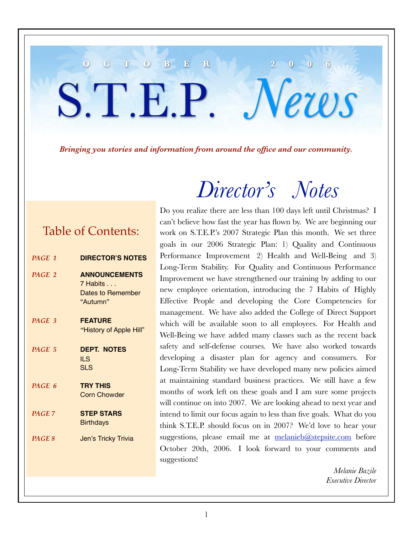#### *Bringing you stories and information from around the office and our community.*

**O C T O B E R 2 0 0 6**

S.T.E.P. *News*

### Table of Contents:

| PAGE 1            | <b>DIRECTOR'S NOTES</b>                                           |
|-------------------|-------------------------------------------------------------------|
| PAGE 2            | <b>ANNOUNCEMENTS</b><br>7 Habits<br>Dates to Remember<br>"Autumn" |
| PAGE 3            | <b>FEATURE</b><br>"History of Apple Hill"                         |
| PAGE 5            | <b>DEPT. NOTES</b><br>ILS<br><b>SLS</b>                           |
| PAGE 6            | <b>TRY THIS</b><br><b>Corn Chowder</b>                            |
| PAGE <sub>7</sub> | <b>STEP STARS</b><br><b>Birthdays</b>                             |
| PAGE 8            | Jen's Tricky Trivia                                               |
|                   |                                                                   |

Do you realize there are less than 100 days left until Christmas? I can't believe how fast the year has flown by. We are beginning our work on S.T.E.P.'s 2007 Strategic Plan this month. We set three goals in our 2006 Strategic Plan: 1) Quality and Continuous Performance Improvement 2) Health and Well-Being and 3) Long-Term Stability. For Quality and Continuous Performance Improvement we have strengthened our training by adding to our new employee orientation, introducing the 7 Habits of Highly Effective People and developing the Core Competencies for management. We have also added the College of Direct Support which will be available soon to all employees. For Health and Well-Being we have added many classes such as the recent back safety and self-defense courses. We have also worked towards developing a disaster plan for agency and consumers. For Long-Term Stability we have developed many new policies aimed at maintaining standard business practices. We still have a few months of work left on these goals and I am sure some projects will continue on into 2007. We are looking ahead to next year and intend to limit our focus again to less than five goals. What do you think S.T.E.P. should focus on in 2007? We'd love to hear your suggestions, please email me at melanieb@stepsite.com before October 20th, 2006. I look forward to your comments and suggestions!

*Director's Notes*

*Melanie Bazile Executive Director*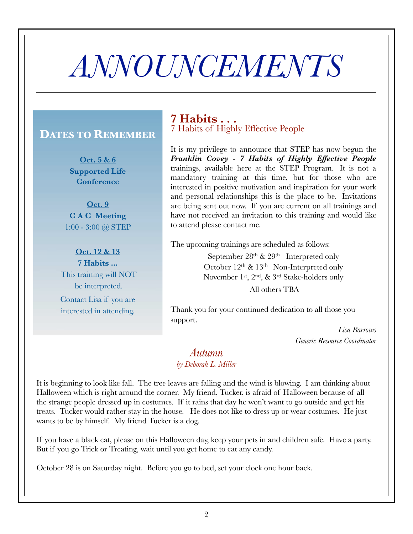# *ANNOUNCEMENTS*

### **DATES TO REMEMBER**

**Oct. 5 & 6 Supported Life Conference**

**Oct. 9 C A C Meeting** 1:00 - 3:00 @ STEP

**Oct. 12 & 13 7 Habits ...** This training will NOT be interpreted. Contact Lisa if you are interested in attending.

### **7 Habits . . .** 7 Habits of Highly Effective People

It is my privilege to announce that STEP has now begun the *Franklin Covey - 7 Habits of Highly Effective People* trainings, available here at the STEP Program. It is not a mandatory training at this time, but for those who are interested in positive motivation and inspiration for your work and personal relationships this is the place to be. Invitations are being sent out now. If you are current on all trainings and have not received an invitation to this training and would like to attend please contact me.

The upcoming trainings are scheduled as follows:

September  $28<sup>th</sup>$  &  $29<sup>th</sup>$  Interpreted only October  $12^{th}$  &  $13^{th}$  Non-Interpreted only November 1st, 2nd, & 3rd Stake-holders only

All others TBA

Thank you for your continued dedication to all those you support.

> *Lisa Barrows Generic Resource Coordinator*

### *Autumn by Deborah L. Miller*

It is beginning to look like fall. The tree leaves are falling and the wind is blowing. I am thinking about Halloween which is right around the corner. My friend, Tucker, is afraid of Halloween because of all the strange people dressed up in costumes. If it rains that day he won't want to go outside and get his treats. Tucker would rather stay in the house. He does not like to dress up or wear costumes. He just wants to be by himself. My friend Tucker is a dog.

If you have a black cat, please on this Halloween day, keep your pets in and children safe. Have a party. But if you go Trick or Treating, wait until you get home to eat any candy.

October 28 is on Saturday night. Before you go to bed, set your clock one hour back.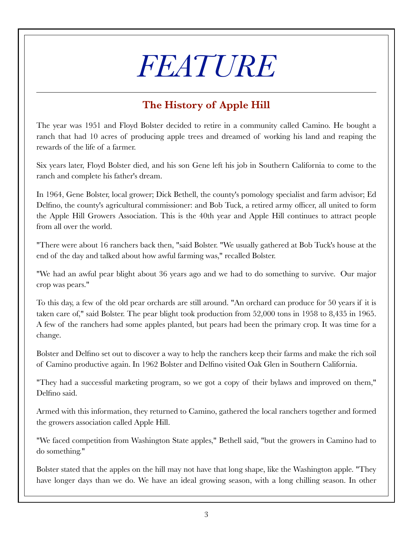# *FEATURE*

## **The History of Apple Hill**

The year was 1951 and Floyd Bolster decided to retire in a community called Camino. He bought a ranch that had 10 acres of producing apple trees and dreamed of working his land and reaping the rewards of the life of a farmer.

Six years later, Floyd Bolster died, and his son Gene left his job in Southern California to come to the ranch and complete his father's dream.

In 1964, Gene Bolster, local grower; Dick Bethell, the county's pomology specialist and farm advisor; Ed Delfino, the county's agricultural commissioner: and Bob Tuck, a retired army officer, all united to form the Apple Hill Growers Association. This is the 40th year and Apple Hill continues to attract people from all over the world.

"There were about 16 ranchers back then, "said Bolster. "We usually gathered at Bob Tuck's house at the end of the day and talked about how awful farming was," recalled Bolster.

"We had an awful pear blight about 36 years ago and we had to do something to survive. Our major crop was pears."

To this day, a few of the old pear orchards are still around. "An orchard can produce for 50 years if it is taken care of," said Bolster. The pear blight took production from 52,000 tons in 1958 to 8,435 in 1965. A few of the ranchers had some apples planted, but pears had been the primary crop. It was time for a change.

Bolster and Delfino set out to discover a way to help the ranchers keep their farms and make the rich soil of Camino productive again. In 1962 Bolster and Delfino visited Oak Glen in Southern California.

"They had a successful marketing program, so we got a copy of their bylaws and improved on them," Delfino said.

Armed with this information, they returned to Camino, gathered the local ranchers together and formed the growers association called Apple Hill.

"We faced competition from Washington State apples," Bethell said, "but the growers in Camino had to do something."

Bolster stated that the apples on the hill may not have that long shape, like the Washington apple. "They have longer days than we do. We have an ideal growing season, with a long chilling season. In other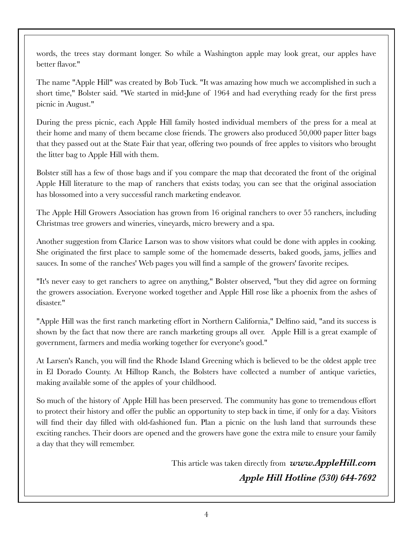words, the trees stay dormant longer. So while a Washington apple may look great, our apples have better flavor."

The name "Apple Hill" was created by Bob Tuck. "It was amazing how much we accomplished in such a short time," Bolster said. "We started in mid-June of 1964 and had everything ready for the first press picnic in August."

During the press picnic, each Apple Hill family hosted individual members of the press for a meal at their home and many of them became close friends. The growers also produced 50,000 paper litter bags that they passed out at the State Fair that year, offering two pounds of free apples to visitors who brought the litter bag to Apple Hill with them.

Bolster still has a few of those bags and if you compare the map that decorated the front of the original Apple Hill literature to the map of ranchers that exists today, you can see that the original association has blossomed into a very successful ranch marketing endeavor.

The Apple Hill Growers Association has grown from 16 original ranchers to over 55 ranchers, including Christmas tree growers and wineries, vineyards, micro brewery and a spa.

Another suggestion from Clarice Larson was to show visitors what could be done with apples in cooking. She originated the first place to sample some of the homemade desserts, baked goods, jams, jellies and sauces. In some of the ranches' Web pages you will find a sample of the growers' favorite recipes.

"It's never easy to get ranchers to agree on anything," Bolster observed, "but they did agree on forming the growers association. Everyone worked together and Apple Hill rose like a phoenix from the ashes of disaster."

"Apple Hill was the first ranch marketing effort in Northern California," Delfino said, "and its success is shown by the fact that now there are ranch marketing groups all over. Apple Hill is a great example of government, farmers and media working together for everyone's good."

At Larsen's Ranch, you will find the Rhode Island Greening which is believed to be the oldest apple tree in El Dorado County. At Hilltop Ranch, the Bolsters have collected a number of antique varieties, making available some of the apples of your childhood.

So much of the history of Apple Hill has been preserved. The community has gone to tremendous effort to protect their history and offer the public an opportunity to step back in time, if only for a day. Visitors will find their day filled with old-fashioned fun. Plan a picnic on the lush land that surrounds these exciting ranches. Their doors are opened and the growers have gone the extra mile to ensure your family a day that they will remember.

> This article was taken directly from *www.AppleHill.com Apple Hill Hotline (530) 644-7692*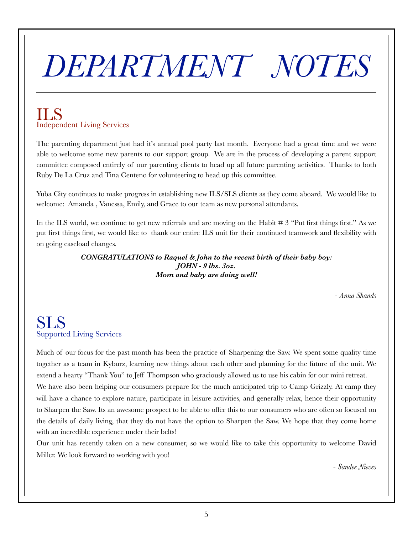# *DEPARTMENT NOTES*

## ILS Independent Living Services

The parenting department just had it's annual pool party last month. Everyone had a great time and we were able to welcome some new parents to our support group. We are in the process of developing a parent support committee composed entirely of our parenting clients to head up all future parenting activities. Thanks to both Ruby De La Cruz and Tina Centeno for volunteering to head up this committee.

Yuba City continues to make progress in establishing new ILS/SLS clients as they come aboard. We would like to welcome: Amanda , Vanessa, Emily, and Grace to our team as new personal attendants.

In the ILS world, we continue to get new referrals and are moving on the Habit # 3 "Put first things first." As we put first things first, we would like to thank our entire ILS unit for their continued teamwork and flexibility with on going caseload changes.

> *CONGRATULATIONS to Raquel & John to the recent birth of their baby boy: JOHN - 9 lbs. 3oz. Mom and baby are doing well!*

> > *- Anna Shands*

### SLS Supported Living Services

Much of our focus for the past month has been the practice of Sharpening the Saw. We spent some quality time together as a team in Kyburz, learning new things about each other and planning for the future of the unit. We extend a hearty "Thank You" to Jeff Thompson who graciously allowed us to use his cabin for our mini retreat.

We have also been helping our consumers prepare for the much anticipated trip to Camp Grizzly. At camp they will have a chance to explore nature, participate in leisure activities, and generally relax, hence their opportunity to Sharpen the Saw. Its an awesome prospect to be able to offer this to our consumers who are often so focused on the details of daily living, that they do not have the option to Sharpen the Saw. We hope that they come home with an incredible experience under their belts!

Our unit has recently taken on a new consumer, so we would like to take this opportunity to welcome David Miller. We look forward to working with you!

*- Sandee Nieves*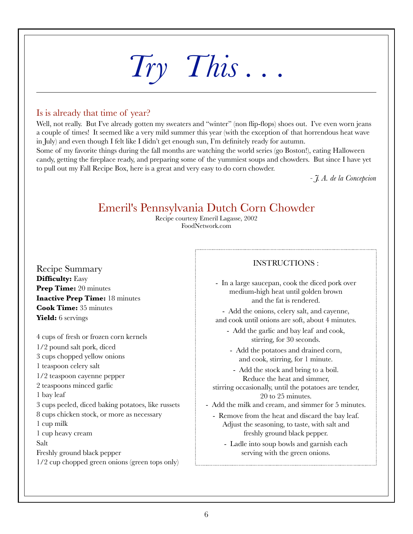# *Try This . . .*

### Is is already that time of year?

Well, not really. But I've already gotten my sweaters and "winter" (non flip-flops) shoes out. I've even worn jeans a couple of times! It seemed like a very mild summer this year (with the exception of that horrendous heat wave in July) and even though I felt like I didn't get enough sun, I'm definitely ready for autumn.

Some of my favorite things during the fall months are watching the world series (go Boston!), eating Halloween candy, getting the fireplace ready, and preparing some of the yummiest soups and chowders. But since I have yet to pull out my Fall Recipe Box, here is a great and very easy to do corn chowder.

*- J. A. de la Concepcion*

## Emeril's Pennsylvania Dutch Corn Chowder

Recipe courtesy Emeril Lagasse, 2002 FoodNetwork.com

Recipe Summary **Difficulty:** Easy **Prep Time:** 20 minutes **Inactive Prep Time:** 18 minutes **Cook Time:** 35 minutes Yield: 6 servings

4 cups of fresh or frozen corn kernels 1/2 pound salt pork, diced 3 cups chopped yellow onions 1 teaspoon celery salt 1/2 teaspoon cayenne pepper 2 teaspoons minced garlic 1 bay leaf 3 cups peeled, diced baking potatoes, like russets 8 cups chicken stock, or more as necessary 1 cup milk 1 cup heavy cream Salt Freshly ground black pepper 1/2 cup chopped green onions (green tops only)

#### INSTRUCTIONS :

- In a large saucepan, cook the diced pork over medium-high heat until golden brown and the fat is rendered.

- Add the onions, celery salt, and cayenne, and cook until onions are soft, about 4 minutes.

- Add the garlic and bay leaf and cook, stirring, for 30 seconds.

- Add the potatoes and drained corn, and cook, stirring, for 1 minute.

- Add the stock and bring to a boil. Reduce the heat and simmer,

stirring occasionally, until the potatoes are tender, 20 to 25 minutes.

- Add the milk and cream, and simmer for 5 minutes.

- Remove from the heat and discard the bay leaf. Adjust the seasoning, to taste, with salt and freshly ground black pepper.
	- Ladle into soup bowls and garnish each serving with the green onions.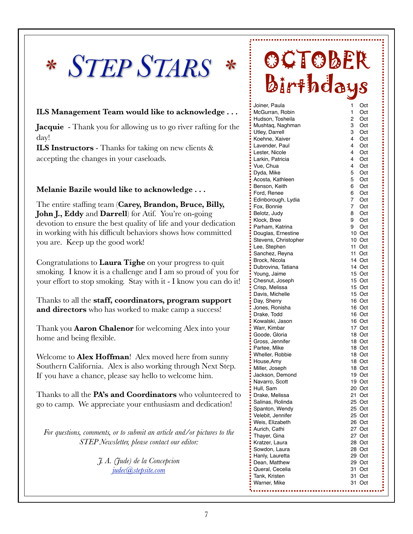# *\* STEP STARS \**

#### **ILS Management Team would like to acknowledge . . .**

**Jacquie** - Thank you for allowing us to go river rafting for the day!

**ILS Instructors** - Thanks for taking on new clients & accepting the changes in your caseloads.

#### **Melanie Bazile would like to acknowledge . . .**

The entire staffing team (**Carey, Brandon, Bruce, Billy, John J., Eddy** and **Darrell**) for Atif. You're on-going devotion to ensure the best quality of life and your dedication in working with his difficult behaviors shows how committed you are. Keep up the good work!

Congratulations to **Laura Tighe** on your progress to quit smoking. I know it is a challenge and I am so proud of you for your effort to stop smoking. Stay with it - I know you can do it!

Thanks to all the **staff, coordinators, program support and directors** who has worked to make camp a success!

Thank you **Aaron Chalenor** for welcoming Alex into your home and being flexible.

Welcome to **Alex Hoffman**! Alex moved here from sunny Southern California. Alex is also working through Next Step. If you have a chance, please say hello to welcome him.

Thanks to all the **PA's and Coordinators** who volunteered to go to camp. We appreciate your enthusiasm and dedication!

*For questions, comments, or to submit an article and/or pictures to the STEP Newsletter, please contact our editor:*

> *J. A. (Jude) de la Concepcion judec@stepsite.com*

## OCTOBER Birthdays

| Joiner, Paula        | 1<br>Oct           |   |
|----------------------|--------------------|---|
| McGurran, Robin      | 1<br>Oct           |   |
| Hudson, Tosheila     | 2<br>Oct           |   |
| Mushtaq, Naghman     | 3<br>Oct           |   |
| Utley, Darrell       | 3<br>Oct           |   |
| Koehne, Xaiver       | 4<br>Oct           |   |
|                      | 4                  |   |
| Lavender, Paul       | Oct                |   |
| Lester, Nicole       | 4<br>Oct           |   |
| Larkin, Patricia     | 4<br>Oct           |   |
| Vue, Chua            | 4<br>Oct           |   |
| Dyda, Mike           | 5<br>Oct           |   |
| Acosta, Kathleen     | 5<br>Oct           |   |
| Benson, Keith        | 6<br>Oct           |   |
| Ford, Renee          | 6<br>Oct           |   |
| Edinborough, Lydia   | $7^{\circ}$<br>Oct |   |
| Fox, Bonnie          | 7<br>Oct           |   |
| Belotz, Judy         | Oct<br>8           |   |
| Klock, Bree          | 9<br>Oct           |   |
| Parham, Katrina      | 9<br>Oct           |   |
| Douglas, Ernestine   | 10 Oct             |   |
| Stevens, Christopher | 10 Oct             |   |
| Lee, Stephen         | 11 Oct             |   |
| Sanchez, Reyna       | 11 Oct             |   |
| Brock, Nicola        | 14 Oct             |   |
| Dubrovina, Tatiana   | 14 Oct             |   |
| Young, Jaime         | 15 Oct             |   |
| Chesnut, Joseph      | 15 Oct             |   |
| Crisp, Melissa       | 15 Oct             |   |
| Davis, Michelle      | 15 Oct             |   |
| Day, Sherry          | 16 Oct             |   |
| Jones, Ronisha       | 16 Oct             |   |
| Drake, Todd          | 16 Oct             |   |
| Kowalski, Jason      | 16 Oct             |   |
| Warr, Kimbar         | 17 Oct             |   |
| Goode, Gloria        | 18 Oct             |   |
| Gross, Jennifer      | 18 Oct             |   |
| Partee, Mike         | 18 Oct             |   |
| Wheller, Robbie      | 18 Oct             |   |
| House, Amy           | 18 Oct             |   |
| Miller, Joseph       | 18 Oct             |   |
| Jackson, Demond      | 19 Oct             |   |
| Navarro, Scott       | 19 Oct             |   |
| Hull, Sam            | 20 Oct             |   |
|                      | 21<br>Oct          |   |
| Drake, Melissa       | 25 Oct             | Ì |
| Salinas, Rolinda     |                    |   |
| Spanton, Wendy       | 25 Oct             |   |
| Velebit, Jennifer    | 25 Oct             |   |
| Weis, Elizabeth      | 26 Oct             |   |
| Aurich, Cathi        | 27 Oct             |   |
| Thayer, Gina         | 27 Oct             |   |
| Kratzer, Laura       | 28 Oct             |   |
| Sowdon, Laura        | 28 Oct             |   |
| Hanly, Lauretta      | 29 Oct             |   |
| Dean, Matthew        | 29 Oct             |   |
| Queral, Cecelia      | 31<br>Oct          |   |
| Tank, Kristen        | 31<br>Oct          |   |
| Warner, Mike         | 31<br>Oct          |   |
| .                    |                    |   |